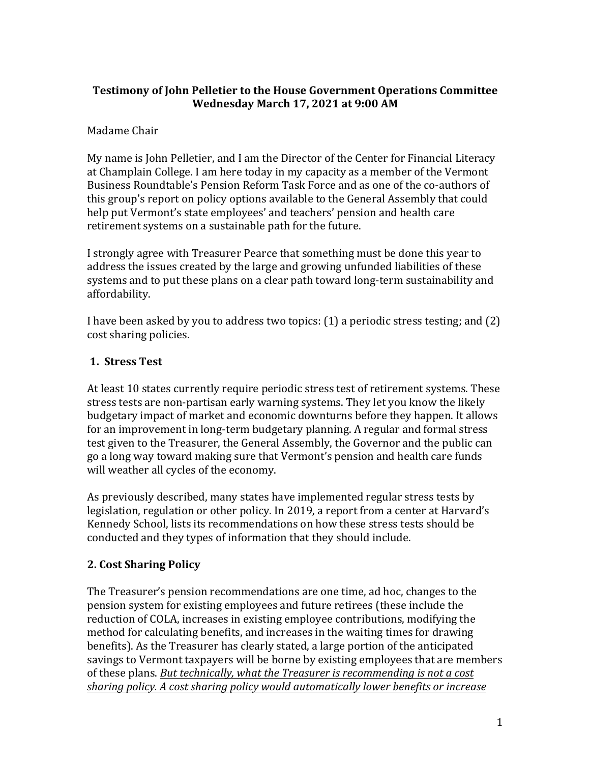### **Testimony of John Pelletier to the House Government Operations Committee Wednesday March 17, 2021 at 9:00 AM**

# Madame Chair

My name is John Pelletier, and I am the Director of the Center for Financial Literacy at Champlain College. I am here today in my capacity as a member of the Vermont Business Roundtable's Pension Reform Task Force and as one of the co-authors of this group's report on policy options available to the General Assembly that could help put Vermont's state employees' and teachers' pension and health care retirement systems on a sustainable path for the future.

I strongly agree with Treasurer Pearce that something must be done this year to address the issues created by the large and growing unfunded liabilities of these systems and to put these plans on a clear path toward long-term sustainability and affordability.

I have been asked by you to address two topics:  $(1)$  a periodic stress testing; and  $(2)$ cost sharing policies.

### **1. Stress Test**

At least 10 states currently require periodic stress test of retirement systems. These stress tests are non-partisan early warning systems. They let you know the likely budgetary impact of market and economic downturns before they happen. It allows for an improvement in long-term budgetary planning. A regular and formal stress test given to the Treasurer, the General Assembly, the Governor and the public can go a long way toward making sure that Vermont's pension and health care funds will weather all cycles of the economy.

As previously described, many states have implemented regular stress tests by legislation, regulation or other policy. In 2019, a report from a center at Harvard's Kennedy School, lists its recommendations on how these stress tests should be conducted and they types of information that they should include.

# **2. Cost Sharing Policy**

The Treasurer's pension recommendations are one time, ad hoc, changes to the pension system for existing employees and future retirees (these include the reduction of COLA, increases in existing employee contributions, modifying the method for calculating benefits, and increases in the waiting times for drawing benefits). As the Treasurer has clearly stated, a large portion of the anticipated savings to Vermont taxpayers will be borne by existing employees that are members of these plans. But technically, what the Treasurer is recommending is not a cost sharing policy. A cost sharing policy would automatically lower benefits or increase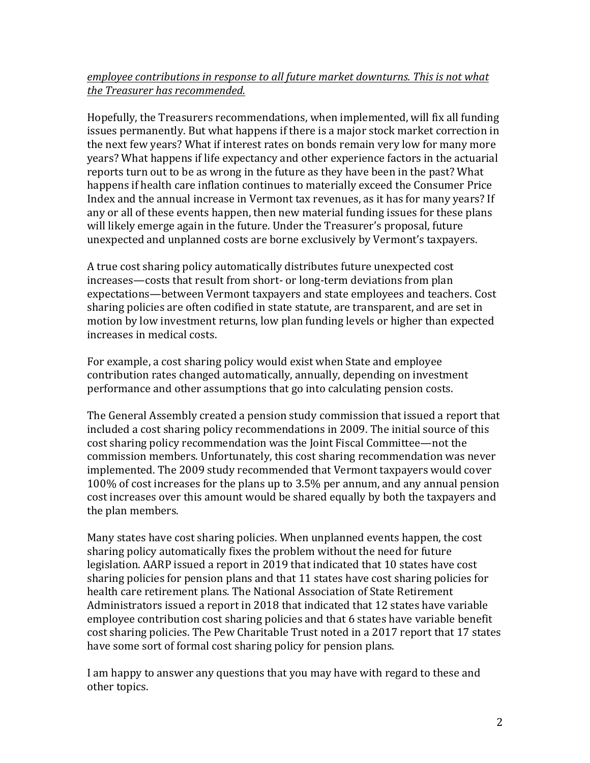#### *employee contributions in response to all future market downturns. This is not what the Treasurer has recommended.*

Hopefully, the Treasurers recommendations, when implemented, will fix all funding issues permanently. But what happens if there is a major stock market correction in the next few years? What if interest rates on bonds remain very low for many more years? What happens if life expectancy and other experience factors in the actuarial reports turn out to be as wrong in the future as they have been in the past? What happens if health care inflation continues to materially exceed the Consumer Price Index and the annual increase in Vermont tax revenues, as it has for many years? If any or all of these events happen, then new material funding issues for these plans will likely emerge again in the future. Under the Treasurer's proposal, future unexpected and unplanned costs are borne exclusively by Vermont's taxpayers.

A true cost sharing policy automatically distributes future unexpected cost increases—costs that result from short- or long-term deviations from plan expectations—between Vermont taxpayers and state employees and teachers. Cost sharing policies are often codified in state statute, are transparent, and are set in motion by low investment returns, low plan funding levels or higher than expected increases in medical costs.

For example, a cost sharing policy would exist when State and employee contribution rates changed automatically, annually, depending on investment performance and other assumptions that go into calculating pension costs.

The General Assembly created a pension study commission that issued a report that included a cost sharing policy recommendations in 2009. The initial source of this cost sharing policy recommendation was the Joint Fiscal Committee—not the commission members. Unfortunately, this cost sharing recommendation was never implemented. The 2009 study recommended that Vermont taxpayers would cover 100% of cost increases for the plans up to 3.5% per annum, and any annual pension cost increases over this amount would be shared equally by both the taxpayers and the plan members.

Many states have cost sharing policies. When unplanned events happen, the cost sharing policy automatically fixes the problem without the need for future legislation. AARP issued a report in 2019 that indicated that 10 states have cost sharing policies for pension plans and that 11 states have cost sharing policies for health care retirement plans. The National Association of State Retirement Administrators issued a report in 2018 that indicated that 12 states have variable employee contribution cost sharing policies and that 6 states have variable benefit cost sharing policies. The Pew Charitable Trust noted in a 2017 report that 17 states have some sort of formal cost sharing policy for pension plans.

I am happy to answer any questions that you may have with regard to these and other topics.